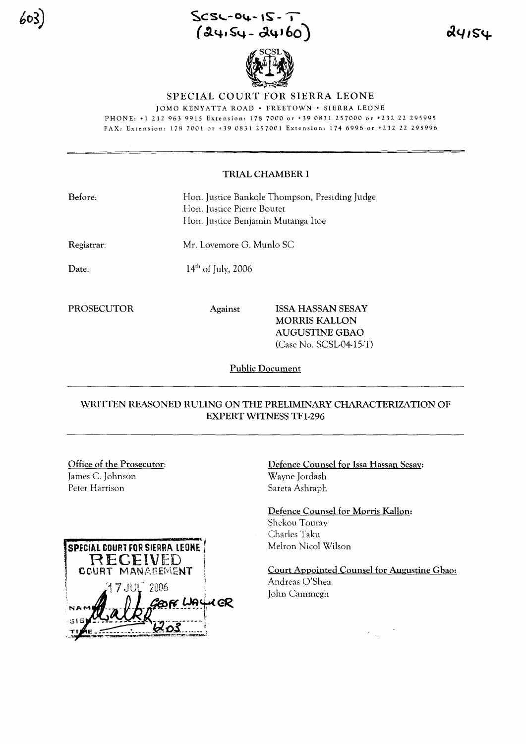$Scsc-04-1S-7$  $(24.54 - 24160)$ 



91124

#### SPECIAL COURT FOR SIERRA LEONE

lOMO KENYATTA ROAD· FREETOWN· SIERRA LEONE

PHONE: +1 212 963 9915 Extension: 1787000 or +390831257000 or +232 22 295995 FAX: Extension: 178 7001 or +39 0831 257001 Extension: 174 6996 or +232 22 295996

#### TRIAL CHAMBER I

| Before:            | Hon. Justice Bankole Thompson, Presiding Judge<br>Hon. Justice Pierre Boutet<br>Hon. Justice Benjamin Mutanga Itoe |
|--------------------|--------------------------------------------------------------------------------------------------------------------|
| Registrar:         | Mr. Lovemore G. Munlo SC                                                                                           |
| Date:              | $14th$ of July, 2006                                                                                               |
| 55 A A 55 A 75 A 5 |                                                                                                                    |

PROSECUTOR Against ISSA HASSAN SESAY MORRIS KALLON AUGUSTINE GBAO (Case No. SCSL-04-15-T)

Public Document

### WRITTEN REASONED RULING ON THE PRELIMINARY CHARACTERIZATION OF EXPERT WITNESS TFl-296

## Office of the Prosecutor:

James C. Johnson Peter Harrison

603



Defence Counsel for Issa Hassan Sesay: Wayne Jordash Sareta Ashraph

Defence Counsel for Morris Kallon: Shekou Touray Charles Taku Melton Nicol Wilson

Court Appointed Counsel for Augustine Gbao: Andreas O'Shea John Cammegh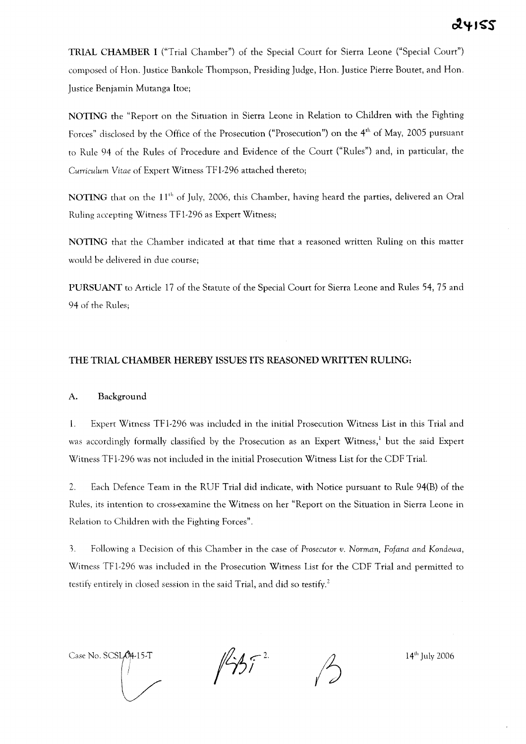TRIAL CHAMBER I ("Trial Chamber") of the Special Court for Sierra Leone ("Special Court") composed of Hon. Justice Bankole Thompson, Presiding Judge, Hon. Justice Pierre Boutet, and Hon. Justice Benjamin Mutanga ltoe;

NOTING the "Report on the Situation in Sierra Leone in Relation to Children with the Fighting Forces" disclosed by the Office of the Prosecution ("Prosecution") on the 4<sup>th</sup> of May, 2005 pursuant to Rule 94 of the Rules of Procedure and Evidence of the Court ("Rules") and, in particular, the *Curriculum* Vitae of Expert Witness TF 1-296 attached thereto;

NOTING that on the 11<sup>th</sup> of July, 2006, this Chamber, having heard the parties, delivered an Oral Ruling accepting Witness TFI-296 as Expert Witness;

NOTING that the Chamber indicated at that time that a reasoned written Ruling on this matter would be delivered in due course;

PURSUANT to Article 17 of the Statute of the Special Court for Sierra Leone and Rules 54, 75 and 94 of the Rules;

#### THE TRIAL CHAMBER HEREBY ISSUES ITS REASONED **WRITTEN** RULING:

#### A. Background

1. Expert Witness TFI-296 was included in the initial Prosecution Witness List in this Trial and was accordingly formally classified by the Prosecution as an Expert Witness,<sup>1</sup> but the said Expert Witness TFI-296 was not included in the initial Prosecution Witness List for the CDF Trial.

2. Each Defence Team in the RUF Trial did indicate, with Notice pursuant to Rule 94(B) of the Rules, its intention to cross-examine the Witness on her "Report on the Situation in Sierra Leone in Relation to Children with the Fighting Forces".

3. Following a Decision of this Chamber in the case of *Prosecutor v. Norman, Fofana and Kondewa,* Witness TFI-296 was included in the Prosecution Witness List for the CDF Trial and permitted to testify entirely in closed session in the said Trial, and did so testify.<sup>2</sup>

Case No. SCSLON-15-T  $\sqrt{\frac{1}{4}}$   $\sqrt{2}$  2.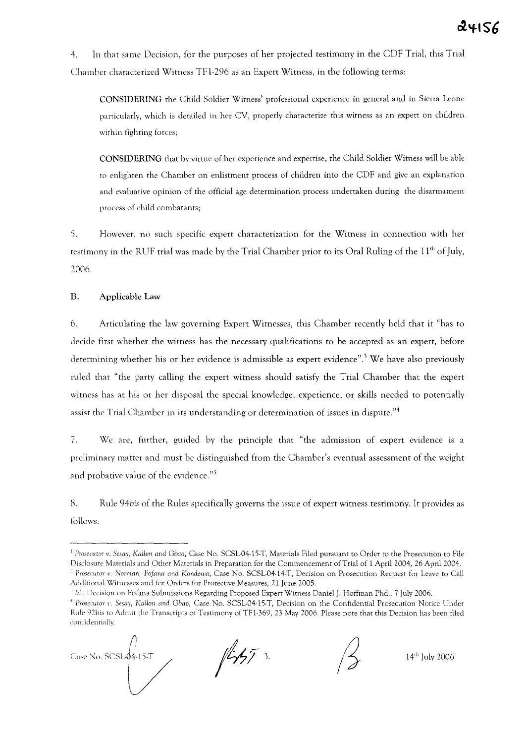4. In that same Decision, for the purposes of her projected testimony in the CDF Trial, this Trial Chamber characterized Witness TF 1-296 as an Expert Witness, in the following terms:

CONSIDERING the Child Soldier Witness' professional experience in general and in Sierra Leone particularly, which is detailed in her CV, properly characterize this witness as an expert on children within fighting forces;

CONSIDERING that by virtue of her experience and expertise, the Child Soldier Witness will be able to enlighten the Chamber on enlistment process of children into the CDF and give an explanation and evaluative opinion of the official age determination process undertaken during the disarmament process of child combatants;

5. However, no such specific expert characterization for the Witness in connection with her testimony in the RUF trial was made by the Trial Chamber prior to its Oral Ruling of the  $11<sup>th</sup>$  of July, 2006.

#### B. Applicable Law

6. Articulating the law governing Expert Witnesses, this Chamber recently held that it "has to decide first whether the witness has the necessary qualifications to be accepted as an expert, before determining whether his or her evidence is admissible as expert evidence".<sup>3</sup> We have also previously ruled that "the party calling the expert witness should satisfy the Trial Chamber that the expert witness has at his or her disposal the special knowledge, experience, or skills needed to potentially assist the Trial Chamber in its understanding or determination of issues in dispute."4

7. We are, further, guided by the principle that "the admission of expert evidence is a preliminary matter and must be distinguished from the Chamber's eventual assessment of the weight and probative value of the evidence."<sup>5</sup>

H. Rule *94bis* of the Rules specifically governs the issue of expert witness testimony. It provides as follows:

*<sup>4</sup> Prosecutor* I'. *Sesay, KaHon and Gbao,* Case No. SCSL-04-15-T, Decision on the Confidential Prosecution Notice Under Rule 92bis to Admit the Transcripts of Testimony of TF1-369, 23 May 2006. Please note that this Decision has been filed confidentially.



 $1457$  3.

<sup>I</sup> *Prosecutor v. Sesay, KaHon and Gbao,* Case No. SCSL-04-15-T, Materials Filed pursuant to Order to the Prosecution to File Disclosure Materials and Other Materials in Preparation for the Commencement of Trial of 1 April 2004, 26 April 2004. *. Prosecutor v. Norman, Fofana and Kondewa,* Case No. SCSL-04-14-T, Decision on Prosecution Request for Leave to Call

Additional Witnesses and for Orders for Protective Measures, 21 June 2005.

*<sup>\</sup> ld.,* Decision on Fofana Submissions Regarding Proposed Expert Witness Daniel J. Hoffman Phd., 7 July 2006.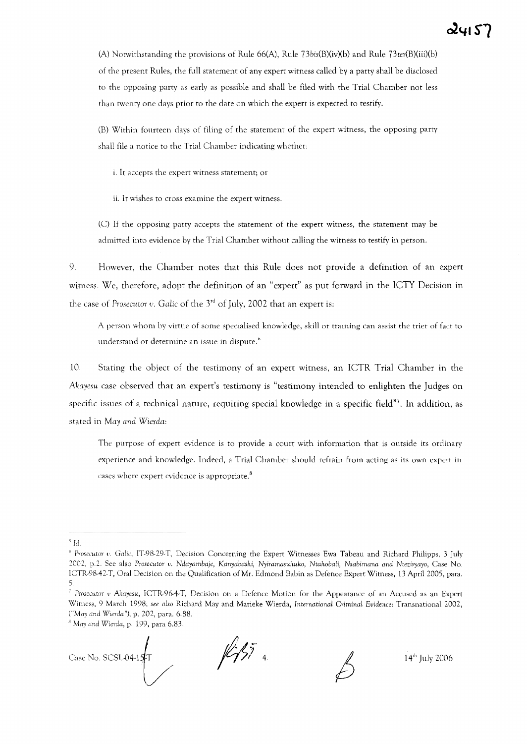(A) Notwithstanding the provisions of Rule 66(A), Rule 73bis(B)(iv)(b) and Rule 73ter(B)(iii)(b) of the present Rules, the full statement of any expert witness called by a party shall be disclosed to the opposing party as early as possible and shall be filed with the Trial Chamber not less than twenty one days prior to the date on which the expert is expected to testify.

(B) Within fourteen days of filing of the statement of the expert witness, the opposing party shall file a notice to the Trial Chamber indicating whether:

i. It accepts the expert witness statement; or

ii. It wishes to cross examine the expert witness.

ec) If the opposing party accepts the statement of the expert witness, the statement may be admitted into evidence by the Trial Chamber without calling the witness to testify in person.

9. However, the Chamber notes that this Rule does not provide a definition of an expert witness. We, therefore, adopt the definition of an "expert" as put forward in the ICTY Decision in the case of *Prosecutor*  $v$ . *Galic* of the  $3<sup>rd</sup>$  of July, 2002 that an expert is:

A person whom by virtue of some specialised knowledge, skill or training can assist the trier of fact to understand or determine an issue in dispute.<sup>6</sup>

10. Stating the object of the testimony of an expert witness, an ICTR Trial Chamber in the *Akayesu* case observed that an expert's testimony is "testimony intended to enlighten the Judges on specific issues of a technical nature, requiring special knowledge in a specific field"? In addition, as stated in *May and Wierda:*

The purpose of expert evidence is to provide a court with information that is outside its ordinary experience and knowledge. Indeed, a Trial Chamber should refrain from acting as its own expert in cases where expert evidence is appropriate. $8$ 

<sup>B</sup> *May and* Wierda, p. 199, para 6.83.



 $\frac{1}{4}$  4.

*<sup>\</sup> Id.*

<sup>&</sup>lt;sup>6</sup> Prosecutor v. Galic, IT-98-29-T, Decision Concerning the Expert Witnesses Ewa Tabeau and Richard Philipps, 3 July 2002, p.2. See also *Prosecutor* 1'. *Ndayambaje, Kanyabashi, Nyiramasuhuko, NtahobaLi, Nsabimana and Nteziryayo,* Case No. ICTR-98-42-T, Oral Decision on the Qualification of Mr. Edmond Babin as Defence Expert Wimess, 13 April 2005, para. S

*Prosecutor* t' *Akayesu,* ICTR-96-4-T, Decision on a Defence Motion for the Appearance of an Accused as an Expert Witness, 9 March 1998; see also Richard May and Marieke Wierda, International Criminal Evidence: Transnational 2002, *("May and Wierda"),* p. 202, para. 6.88.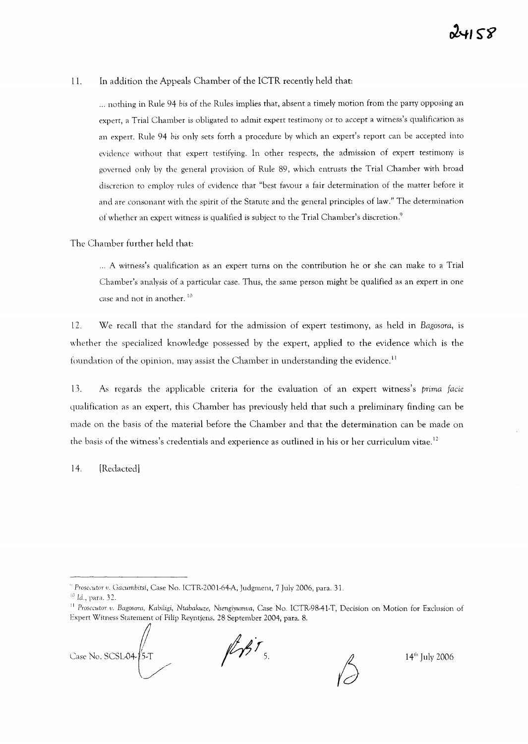#### 11. In addition the Appeals Chamber of the ICTR recently held that:

... nothing in Rule 94 bis of the Rules implies that, absent a timely motion from the party opposing an expert, a Trial Chamber is obligated to admit expert testimony or to accept a witness's qualification as an expert. Rule 94 bis only sets forth a procedure by which an expert's report can be accepted into evidence without that expert testifying. In other respects, the admission of expert testimony is governed only by the general provision of Rule 89, which entrusts the Trial Chamber with broad discretion to employ rules of evidence that "best favour a fair determination of the matter before it and are consonant with the spirit of the Statute and the general principles of law." The determination of whether an expert witness is qualified is subject to the Trial Chamber's discretion.<sup>9</sup>

The Chamber further held that:

... A witness's qualification as an expert turns on the contribution he or she can make to a Trial Chamber's analysis of a particular case. Thus, the same person might be qualified as an expert in one case and not in another.<sup>10</sup>

12. We recall that the standard for the admission of expert testimony, as held in *Bagosora,* is whether the specialized knowledge possessed by the expert, applied to the evidence which is the foundation of the opinion, may assist the Chamber in understanding the evidence.<sup>11</sup>

13. As regards the applicable criteria for the evaluation of an expert witness's *prima facie* qualification as an expert, this Chamber has previously held that such a preliminary finding can be made on the basis of the material before the Chamber and that the determination can be made on the basis of the witness's credentials and experience as outlined in his or her curriculum vitae.<sup>12</sup>

14. [Redacted)

Case No. SCSL04-25-T /

 $\mathbb{Z}/37$ 

14th July 2006

*<sup>,</sup> Prosecutor* Ii. Gacumbitsi, Case No. ICTR-2001-64-A, Judgment, 7 July 2006, para. 31.

<sup>10</sup> Id., para. 32.

<sup>&</sup>lt;sup>11</sup> Prosecutor v. Bagosora, Kabiligi, Ntabakuze, Nsengiyumva, Case No. ICTR-98-41-T, Decision on Motion for Exclusion of Expert Witness Statement of Filip Reyntjens, 28 September 2004, para. 8.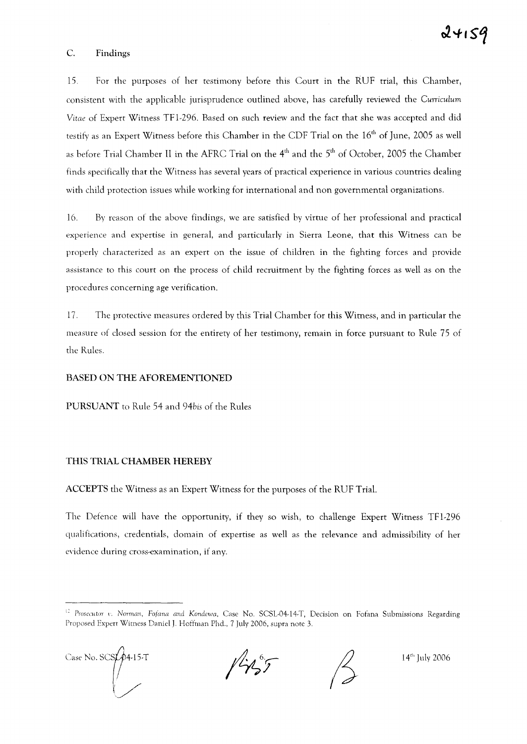#### C. Findings

15. For the purposes of her testimony before this Court in the RUF trial, this Chamber, consistent with the applicable jurisprudence outlined above, has carefully reviewed the *Curriculum Vitae* of Expert Witness TF 1-296. Based on such review and the fact that she was accepted and did testify as an Expert Witness before this Chamber in the CDF Trial on the 16<sup>th</sup> of June, 2005 as well as before Trial Chamber II in the AFRC Trial on the 4<sup>th</sup> and the 5<sup>th</sup> of October, 2005 the Chamber finds specifically that the Witness has several years of practical experience in various countries dealing with child protection issues while working for international and non governmental organizations.

16. By reason of the above findings, we are satisfied by virtue of her professional and practical experience and expertise in general, and particularly in Sierra Leone, that this Witness can be properly characterized as an expert on the issue of children in the fighting forces and provide assistance to this court on the process of child recruitment by the fighting forces as well as on the procedures concerning age verification.

17. The protective measures ordered by this Trial Chamber for this Witness, and in particular the measure of closed session for the entirety of her testimony, remain in force pursuant to Rule 75 of the Rules.

#### BASED ON THE AFOREMENTIONED

PURSUANT to Rule 54 and *94bis* of the Rules

#### THIS TRIAL CHAMBER HEREBY

ACCEPTS the Witness as an Expert Witness for the purposes of the RUF Trial.

The Defence will have the opportunity, if they so wish, to challenge Expert Witness TFI-296 qualifications, credentials, domain of expertise as well as the relevance and admissibility of her evidence during cross-examination, if any.

<sup>&</sup>lt;sup>12</sup> Prosecutor v. Norman, Fofana and Kondewa, Case No. SCSL-04-14-T, Decision on Fofana Submissions Regarding Proposed Expert Witness Daniel J. Hoftinan Phd., 7 July 2006, supra note 3.



 $1/1257$ 

14th July 2006